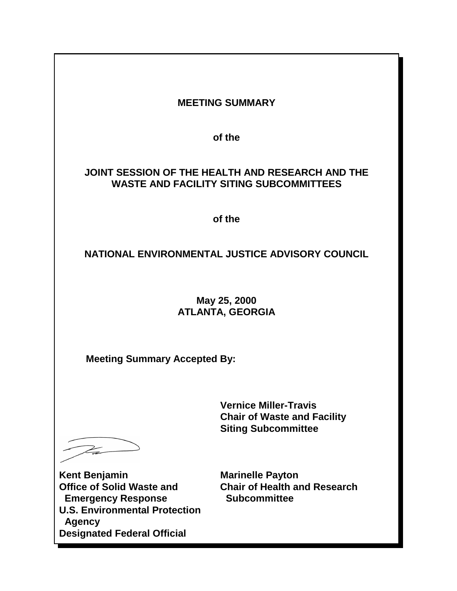|                                                                                                                                                                                      | <b>MEETING SUMMARY</b>                                                                             |
|--------------------------------------------------------------------------------------------------------------------------------------------------------------------------------------|----------------------------------------------------------------------------------------------------|
|                                                                                                                                                                                      |                                                                                                    |
|                                                                                                                                                                                      | of the                                                                                             |
|                                                                                                                                                                                      | JOINT SESSION OF THE HEALTH AND RESEARCH AND THE<br><b>WASTE AND FACILITY SITING SUBCOMMITTEES</b> |
| of the                                                                                                                                                                               |                                                                                                    |
| NATIONAL ENVIRONMENTAL JUSTICE ADVISORY COUNCIL                                                                                                                                      |                                                                                                    |
| May 25, 2000<br><b>ATLANTA, GEORGIA</b>                                                                                                                                              |                                                                                                    |
| <b>Meeting Summary Accepted By:</b>                                                                                                                                                  |                                                                                                    |
|                                                                                                                                                                                      | <b>Vernice Miller-Travis</b><br><b>Chair of Waste and Facility</b><br><b>Siting Subcommittee</b>   |
| <b>Kent Benjamin</b><br><b>Office of Solid Waste and</b><br><b>Emergency Response</b><br><b>U.S. Environmental Protection</b><br><b>Agency</b><br><b>Designated Federal Official</b> | <b>Marinelle Payton</b><br><b>Chair of Health and Research</b><br><b>Subcommittee</b>              |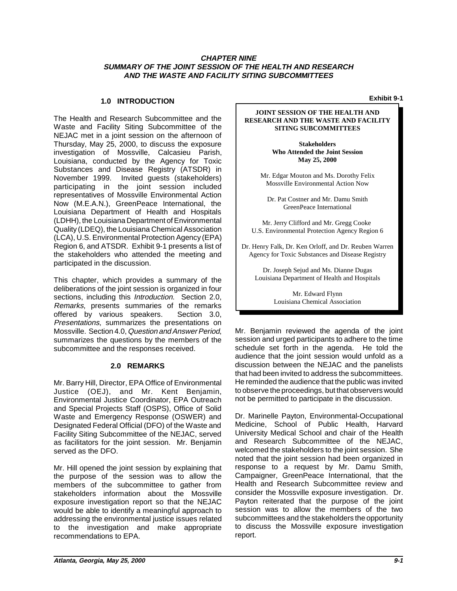#### **CHAPTER NINE SUMMARY OF THE JOINT SESSION OF THE HEALTH AND RESEARCH AND THE WASTE AND FACILITY SITING SUBCOMMITTEES**

# **Exhibit 9-1 1.0 INTRODUCTION**

The Health and Research Subcommittee and the Waste and Facility Siting Subcommittee of the NEJAC met in a joint session on the afternoon of Thursday, May 25, 2000, to discuss the exposure investigation of Mossville, Calcasieu Parish, Louisiana, conducted by the Agency for Toxic Substances and Disease Registry (ATSDR) in November 1999. Invited guests (stakeholders) participating in the joint session included representatives of Mossville Environmental Action Now (M.E.A.N.), GreenPeace International, the Louisiana Department of Health and Hospitals (LDHH), the Louisiana Department of Environmental Quality (LDEQ), the Louisiana Chemical Association (LCA), U.S. Environmental Protection Agency (EPA) Region 6, and ATSDR. Exhibit 9-1 presents a list of the stakeholders who attended the meeting and participated in the discussion.

This chapter, which provides a summary of the deliberations of the joint session is organized in four sections, including this *Introduction*. Section 2.0, Remarks, presents summaries of the remarks offered by various speakers. Section 3.0, Presentations, summarizes the presentations on Mossville. Section 4.0, Question and Answer Period, summarizes the questions by the members of the subcommittee and the responses received.

### **2.0 REMARKS**

 Mr. Barry Hill, Director, EPA Office of Environmental Justice (OEJ), and Mr. Kent Benjamin, Environmental Justice Coordinator, EPA Outreach and Special Projects Staff (OSPS), Office of Solid Waste and Emergency Response (OSWER) and Designated Federal Official (DFO) of the Waste and Facility Siting Subcommittee of the NEJAC, served as facilitators for the joint session. Mr. Benjamin served as the DFO.

 to the investigation and make appropriate Mr. Hill opened the joint session by explaining that the purpose of the session was to allow the members of the subcommittee to gather from stakeholders information about the Mossville exposure investigation report so that the NEJAC would be able to identify a meaningful approach to addressing the environmental justice issues related recommendations to EPA.

#### **JOINT SESSION OF THE HEALTH AND RESEARCH AND THE WASTE AND FACILITY SITING SUBCOMMITTEES**

**Stakeholders Who Attended the Joint Session May 25, 2000**

Mr. Edgar Mouton and Ms. Dorothy Felix Mossville Environmental Action Now

Dr. Pat Costner and Mr. Damu Smith GreenPeace International

Mr. Jerry Clifford and Mr. Gregg Cooke U.S. Environmental Protection Agency Region 6

Dr. Henry Falk, Dr. Ken Orloff, and Dr. Reuben Warren Agency for Toxic Substances and Disease Registry

Dr. Joseph Sejud and Ms. Dianne Dugas Louisiana Department of Health and Hospitals

> Mr. Edward Flynn Louisiana Chemical Association

 He reminded the audience that the public was invited Mr. Benjamin reviewed the agenda of the joint session and urged participants to adhere to the time schedule set forth in the agenda. He told the audience that the joint session would unfold as a discussion between the NEJAC and the panelists that had been invited to address the subcommittees. to observe the proceedings, but that observers would not be permitted to participate in the discussion.

Dr. Marinelle Payton, Environmental-Occupational Medicine, School of Public Health, Harvard University Medical School and chair of the Health and Research Subcommittee of the NEJAC, welcomed the stakeholders to the joint session. She noted that the joint session had been organized in response to a request by Mr. Damu Smith, Campaigner, GreenPeace International, that the Health and Research Subcommittee review and consider the Mossville exposure investigation. Dr. Payton reiterated that the purpose of the joint session was to allow the members of the two subcommittees and the stakeholders the opportunity to discuss the Mossville exposure investigation report.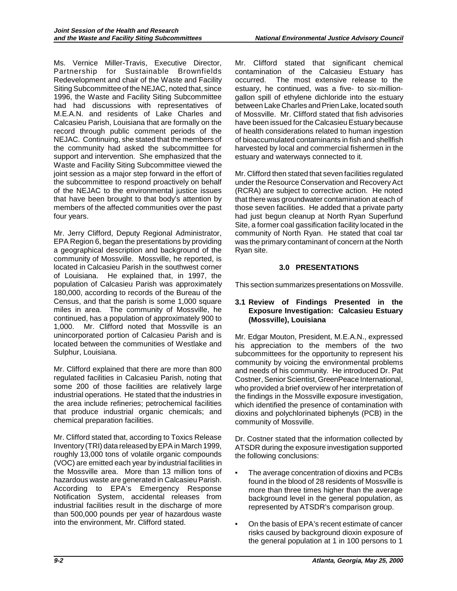Ms. Vernice Miller-Travis, Executive Director, Partnership for Sustainable Brownfields Redevelopment and chair of the Waste and Facility Siting Subcommittee of the NEJAC, noted that, since 1996, the Waste and Facility Siting Subcommittee had had discussions with representatives of M.E.A.N. and residents of Lake Charles and Calcasieu Parish, Louisiana that are formally on the record through public comment periods of the NEJAC. Continuing, she stated that the members of the community had asked the subcommittee for support and intervention. She emphasized that the Waste and Facility Siting Subcommittee viewed the joint session as a major step forward in the effort of the subcommittee to respond proactively on behalf of the NEJAC to the environmental justice issues that have been brought to that body's attention by members of the affected communities over the past four years.

Mr. Jerry Clifford, Deputy Regional Administrator, EPA Region 6, began the presentations by providing a geographical description and background of the community of Mossville. Mossville, he reported, is located in Calcasieu Parish in the southwest corner of Louisiana. He explained that, in 1997, the population of Calcasieu Parish was approximately 180,000, according to records of the Bureau of the Census, and that the parish is some 1,000 square miles in area. The community of Mossville, he continued, has a population of approximately 900 to 1,000. Mr. Clifford noted that Mossville is an unincorporated portion of Calcasieu Parish and is located between the communities of Westlake and Sulphur, Louisiana.

Mr. Clifford explained that there are more than 800 regulated facilities in Calcasieu Parish, noting that some 200 of those facilities are relatively large industrial operations. He stated that the industries in the area include refineries; petrochemical facilities that produce industrial organic chemicals; and chemical preparation facilities.

 roughly 13,000 tons of volatile organic compounds Mr. Clifford stated that, according to Toxics Release Inventory (TRI) data released by EPA in March 1999, (VOC) are emitted each year by industrial facilities in the Mossville area. More than 13 million tons of hazardous waste are generated in Calcasieu Parish. According to EPA's Emergency Response Notification System, accidental releases from industrial facilities result in the discharge of more than 500,000 pounds per year of hazardous waste into the environment, Mr. Clifford stated.

Mr. Clifford stated that significant chemical contamination of the Calcasieu Estuary has occurred. The most extensive release to the estuary, he continued, was a five- to six-milliongallon spill of ethylene dichloride into the estuary between Lake Charles and Prien Lake, located south of Mossville. Mr. Clifford stated that fish advisories have been issued for the Calcasieu Estuary because of health considerations related to human ingestion of bioaccumulated contaminants in fish and shellfish harvested by local and commercial fishermen in the estuary and waterways connected to it.

 those seven facilities. He added that a private party Mr. Clifford then stated that seven facilities regulated under the Resource Conservation and Recovery Act (RCRA) are subject to corrective action. He noted that there was groundwater contamination at each of had just begun cleanup at North Ryan Superfund Site, a former coal gassification facility located in the community of North Ryan. He stated that coal tar was the primary contaminant of concern at the North Ryan site.

## **3.0 PRESENTATIONS**

This section summarizes presentations on Mossville.

#### **3.1 Review of Findings Presented in the Exposure Investigation: Calcasieu Estuary (Mossville), Louisiana**

 who provided a brief overview of her interpretation of Mr. Edgar Mouton, President, M.E.A.N., expressed his appreciation to the members of the two subcommittees for the opportunity to represent his community by voicing the environmental problems and needs of his community. He introduced Dr. Pat Costner, Senior Scientist, GreenPeace International, the findings in the Mossville exposure investigation, which identified the presence of contamination with dioxins and polychlorinated biphenyls (PCB) in the community of Mossville.

Dr. Costner stated that the information collected by ATSDR during the exposure investigation supported the following conclusions:

- found in the blood of 28 residents of Mossville is The average concentration of dioxins and PCBs more than three times higher than the average background level in the general population, as represented by ATSDR's comparison group.
- On the basis of EPA's recent estimate of cancer risks caused by background dioxin exposure of the general population at 1 in 100 persons to 1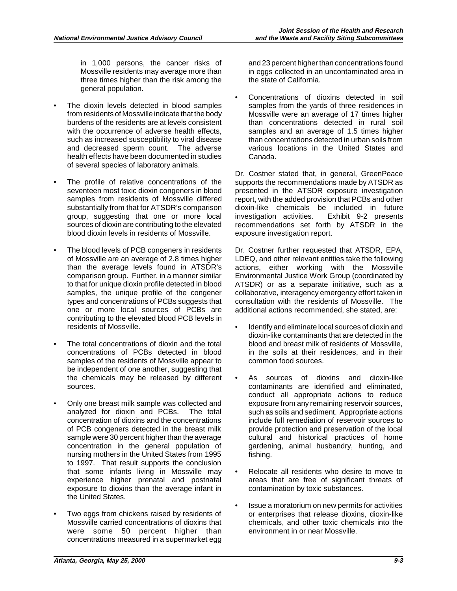in 1,000 persons, the cancer risks of Mossville residents may average more than three times higher than the risk among the general population.

- The dioxin levels detected in blood samples from residents of Mossville indicate that the body burdens of the residents are at levels consistent with the occurrence of adverse health effects, such as increased susceptibility to viral disease and decreased sperm count. The adverse health effects have been documented in studies of several species of laboratory animals.
- The profile of relative concentrations of the seventeen most toxic dioxin congeners in blood samples from residents of Mossville differed substantially from that for ATSDR's comparison group, suggesting that one or more local sources of dioxin are contributing to the elevated blood dioxin levels in residents of Mossville.
- The blood levels of PCB congeners in residents of Mossville are an average of 2.8 times higher than the average levels found in ATSDR's comparison group. Further, in a manner similar to that for unique dioxin profile detected in blood samples, the unique profile of the congener types and concentrations of PCBs suggests that one or more local sources of PCBs are contributing to the elevated blood PCB levels in residents of Mossville.
- The total concentrations of dioxin and the total concentrations of PCBs detected in blood samples of the residents of Mossville appear to be independent of one another, suggesting that the chemicals may be released by different sources.
- Only one breast milk sample was collected and analyzed for dioxin and PCBs. The total concentration of dioxins and the concentrations of PCB congeners detected in the breast milk sample were 30 percent higher than the average concentration in the general population of nursing mothers in the United States from 1995 to 1997. That result supports the conclusion that some infants living in Mossville may experience higher prenatal and postnatal exposure to dioxins than the average infant in the United States.
- Two eggs from chickens raised by residents of Mossville carried concentrations of dioxins that were some 50 percent higher than concentrations measured in a supermarket egg

and 23 percent higher than concentrations found in eggs collected in an uncontaminated area in the state of California.

Concentrations of dioxins detected in soil samples from the yards of three residences in Mossville were an average of 17 times higher than concentrations detected in rural soil samples and an average of 1.5 times higher than concentrations detected in urban soils from various locations in the United States and Canada.

Dr. Costner stated that, in general, GreenPeace supports the recommendations made by ATSDR as presented in the ATSDR exposure investigation report, with the added provision that PCBs and other dioxin-like chemicals be included in future investigation activities. Exhibit 9-2 presents recommendations set forth by ATSDR in the exposure investigation report.

 collaborative, interagency emergency effort taken in Dr. Costner further requested that ATSDR, EPA, LDEQ, and other relevant entities take the following actions, either working with the Mossville Environmental Justice Work Group (coordinated by ATSDR) or as a separate initiative, such as a consultation with the residents of Mossville. The additional actions recommended, she stated, are:

- • Identify and eliminate local sources of dioxin and dioxin-like contaminants that are detected in the blood and breast milk of residents of Mossville, in the soils at their residences, and in their common food sources.
- As sources of dioxins and dioxin-like contaminants are identified and eliminated, conduct all appropriate actions to reduce exposure from any remaining reservoir sources, such as soils and sediment. Appropriate actions include full remediation of reservoir sources to provide protection and preservation of the local cultural and historical practices of home gardening, animal husbandry, hunting, and fishing.
- • Relocate all residents who desire to move to areas that are free of significant threats of contamination by toxic substances.
- Issue a moratorium on new permits for activities or enterprises that release dioxins, dioxin-like chemicals, and other toxic chemicals into the environment in or near Mossville.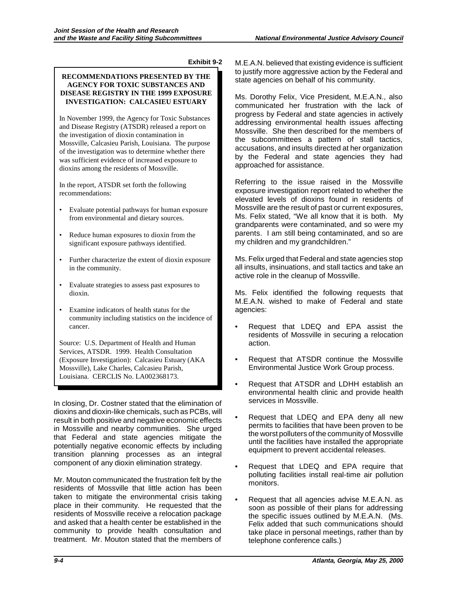#### **Exhibit 9-2**

#### **RECOMMENDATIONS PRESENTED BY THE AGENCY FOR TOXIC SUBSTANCES AND DISEASE REGISTRY IN THE 1999 EXPOSURE INVESTIGATION: CALCASIEU ESTUARY**

In November 1999, the Agency for Toxic Substances and Disease Registry (ATSDR) released a report on the investigation of dioxin contamination in Mossville, Calcasieu Parish, Louisiana. The purpose of the investigation was to determine whether there was sufficient evidence of increased exposure to dioxins among the residents of Mossville.

In the report, ATSDR set forth the following recommendations:

- • Evaluate potential pathways for human exposure from environmental and dietary sources.
- Reduce human exposures to dioxin from the significant exposure pathways identified.
- Further characterize the extent of dioxin exposure in the community.
- • Evaluate strategies to assess past exposures to dioxin.
- • Examine indicators of health status for the community including statistics on the incidence of cancer.

Source: U.S. Department of Health and Human Services, ATSDR. 1999. Health Consultation (Exposure Investigation): Calcasieu Estuary (AKA Mossville), Lake Charles, Calcasieu Parish, Louisiana. CERCLIS No. LA002368173.

In closing, Dr. Costner stated that the elimination of dioxins and dioxin-like chemicals, such as PCBs, will result in both positive and negative economic effects in Mossville and nearby communities. She urged that Federal and state agencies mitigate the potentially negative economic effects by including transition planning processes as an integral component of any dioxin elimination strategy.

Mr. Mouton communicated the frustration felt by the residents of Mossville that little action has been taken to mitigate the environmental crisis taking place in their community. He requested that the residents of Mossville receive a relocation package and asked that a health center be established in the community to provide health consultation and treatment. Mr. Mouton stated that the members of

 to justify more aggressive action by the Federal and M.E.A.N. believed that existing evidence is sufficient state agencies on behalf of his community.

 the subcommittees a pattern of stall tactics, Ms. Dorothy Felix, Vice President, M.E.A.N., also communicated her frustration with the lack of progress by Federal and state agencies in actively addressing environmental health issues affecting Mossville. She then described for the members of accusations, and insults directed at her organization by the Federal and state agencies they had approached for assistance.

Referring to the issue raised in the Mossville exposure investigation report related to whether the elevated levels of dioxins found in residents of Mossville are the result of past or current exposures, Ms. Felix stated, "We all know that it is both. My grandparents were contaminated, and so were my parents. I am still being contaminated, and so are my children and my grandchildren."

Ms. Felix urged that Federal and state agencies stop all insults, insinuations, and stall tactics and take an active role in the cleanup of Mossville.

Ms. Felix identified the following requests that M.E.A.N. wished to make of Federal and state agencies:

- • Request that LDEQ and EPA assist the residents of Mossville in securing a relocation action.
- • Request that ATSDR continue the Mossville Environmental Justice Work Group process.
- Request that ATSDR and LDHH establish an environmental health clinic and provide health services in Mossville.
- the worst polluters of the community of Mossville Request that LDEQ and EPA deny all new permits to facilities that have been proven to be until the facilities have installed the appropriate equipment to prevent accidental releases.
- Request that LDEQ and EPA require that polluting facilities install real-time air pollution monitors.
- Request that all agencies advise M.E.A.N. as soon as possible of their plans for addressing the specific issues outlined by M.E.A.N. (Ms. Felix added that such communications should take place in personal meetings, rather than by telephone conference calls.)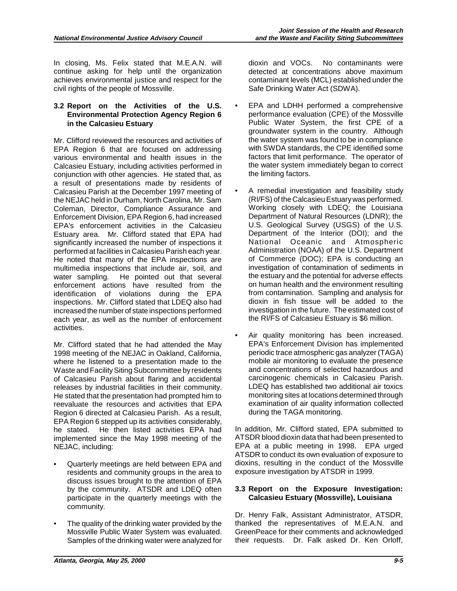In closing, Ms. Felix stated that M.E.A.N. will continue asking for help until the organization achieves environmental justice and respect for the civil rights of the people of Mossville.

#### **3.2 Report on the Activities of the U.S. Environmental Protection Agency Region 6 in the Calcasieu Estuary**

 identification of violations during the EPA Mr. Clifford reviewed the resources and activities of EPA Region 6 that are focused on addressing various environmental and health issues in the Calcasieu Estuary, including activities performed in conjunction with other agencies. He stated that, as a result of presentations made by residents of Calcasieu Parish at the December 1997 meeting of the NEJAC held in Durham, North Carolina, Mr. Sam Coleman, Director, Compliance Assurance and Enforcement Division, EPA Region 6, had increased EPA's enforcement activities in the Calcasieu Estuary area. Mr. Clifford stated that EPA had significantly increased the number of inspections it performed at facilities in Calcasieu Parish each year. He noted that many of the EPA inspections are multimedia inspections that include air, soil, and water sampling. He pointed out that several enforcement actions have resulted from the inspections. Mr. Clifford stated that LDEQ also had increased the number of state inspections performed each year, as well as the number of enforcement activities.

 where he listened to a presentation made to the EPA Region 6 stepped up its activities considerably, Mr. Clifford stated that he had attended the May 1998 meeting of the NEJAC in Oakland, California, Waste and Facility Siting Subcommittee by residents of Calcasieu Parish about flaring and accidental releases by industrial facilities in their community. He stated that the presentation had prompted him to reevaluate the resources and activities that EPA Region 6 directed at Calcasieu Parish. As a result, he stated. He then listed activities EPA had implemented since the May 1998 meeting of the NEJAC, including:

- Quarterly meetings are held between EPA and residents and community groups in the area to discuss issues brought to the attention of EPA by the community. ATSDR and LDEQ often participate in the quarterly meetings with the community.
- The quality of the drinking water provided by the Mossville Public Water System was evaluated. Samples of the drinking water were analyzed for

dioxin and VOCs. No contaminants were detected at concentrations above maximum contaminant levels (MCL) established under the Safe Drinking Water Act (SDWA).

- EPA and LDHH performed a comprehensive performance evaluation (CPE) of the Mossville Public Water System, the first CPE of a groundwater system in the country. Although the water system was found to be in compliance with SWDA standards, the CPE identified some factors that limit performance. The operator of the water system immediately began to correct the limiting factors.
- A remedial investigation and feasibility study (RI/FS) of the Calcasieu Estuary was performed. Working closely with LDEQ; the Louisiana Department of Natural Resources (LDNR); the U.S. Geological Survey (USGS) of the U.S. Department of the Interior (DOI); and the National Oceanic and Atmospheric Administration (NOAA) of the U.S. Department of Commerce (DOC); EPA is conducting an investigation of contamination of sediments in the estuary and the potential for adverse effects on human health and the environment resulting from contamination. Sampling and analysis for dioxin in fish tissue will be added to the investigation in the future. The estimated cost of the RI/FS of Calcasieu Estuary is \$6 million.
- Air quality monitoring has been increased. EPA's Enforcement Division has implemented periodic trace atmospheric gas analyzer (TAGA) mobile air monitoring to evaluate the presence and concentrations of selected hazardous and carcinogenic chemicals in Calcasieu Parish. LDEQ has established two additional air toxics monitoring sites at locations determined through examination of air quality information collected during the TAGA monitoring.

In addition, Mr. Clifford stated, EPA submitted to ATSDR blood dioxin data that had been presented to EPA at a public meeting in 1998. EPA urged ATSDR to conduct its own evaluation of exposure to dioxins, resulting in the conduct of the Mossville exposure investigation by ATSDR in 1999.

#### **3.3 Report on the Exposure Investigation: Calcasieu Estuary (Mossville), Louisiana**

Dr. Henry Falk, Assistant Administrator, ATSDR, thanked the representatives of M.E.A.N. and GreenPeace for their comments and acknowledged their requests. Dr. Falk asked Dr. Ken Orloff,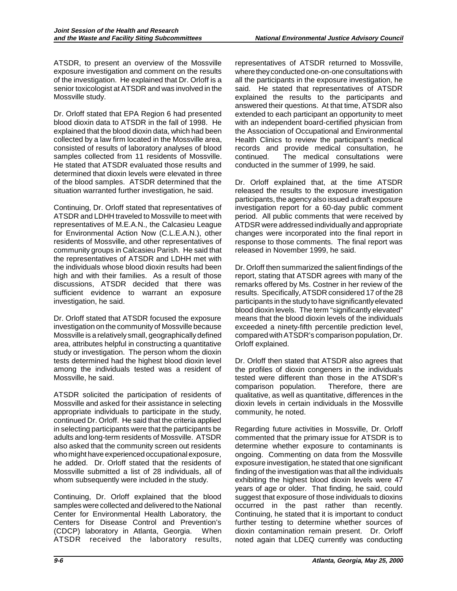ATSDR, to present an overview of the Mossville exposure investigation and comment on the results of the investigation. He explained that Dr. Orloff is a senior toxicologist at ATSDR and was involved in the Mossville study.

 determined that dioxin levels were elevated in three of the blood samples. ATSDR determined that the Dr. Orloff stated that EPA Region 6 had presented blood dioxin data to ATSDR in the fall of 1998. He explained that the blood dioxin data, which had been collected by a law firm located in the Mossville area, consisted of results of laboratory analyses of blood samples collected from 11 residents of Mossville. He stated that ATSDR evaluated those results and situation warranted further investigation, he said.

Continuing, Dr. Orloff stated that representatives of ATSDR and LDHH traveled to Mossville to meet with representatives of M.E.A.N., the Calcasieu League for Environmental Action Now (C.L.E.A.N.), other residents of Mossville, and other representatives of community groups in Calcasieu Parish. He said that the representatives of ATSDR and LDHH met with the individuals whose blood dioxin results had been high and with their families. As a result of those discussions, ATSDR decided that there was sufficient evidence to warrant an exposure investigation, he said.

Dr. Orloff stated that ATSDR focused the exposure investigation on the community of Mossville because Mossville is a relatively small, geographically defined area, attributes helpful in constructing a quantitative study or investigation. The person whom the dioxin tests determined had the highest blood dioxin level among the individuals tested was a resident of Mossville, he said.

 continued Dr. Orloff. He said that the criteria applied ATSDR solicited the participation of residents of Mossville and asked for their assistance in selecting appropriate individuals to participate in the study, in selecting participants were that the participants be adults and long-term residents of Mossville. ATSDR also asked that the community screen out residents who might have experienced occupational exposure, he added. Dr. Orloff stated that the residents of Mossville submitted a list of 28 individuals, all of whom subsequently were included in the study.

Continuing, Dr. Orloff explained that the blood samples were collected and delivered to the National Center for Environmental Health Laboratory, the Centers for Disease Control and Prevention's (CDCP) laboratory in Atlanta, Georgia. When ATSDR received the laboratory results,

representatives of ATSDR returned to Mossville, where they conducted one-on-one consultations with all the participants in the exposure investigation, he said. He stated that representatives of ATSDR explained the results to the participants and answered their questions. At that time, ATSDR also extended to each participant an opportunity to meet with an independent board-certified physician from the Association of Occupational and Environmental Health Clinics to review the participant's medical records and provide medical consultation, he continued. The medical consultations were conducted in the summer of 1999, he said.

 participants, the agency also issued a draft exposure Dr. Orloff explained that, at the time ATSDR released the results to the exposure investigation investigation report for a 60-day public comment period. All public comments that were received by ATDSR were addressed individually and appropriate changes were incorporated into the final report in response to those comments. The final report was released in November 1999, he said.

 remarks offered by Ms. Costner in her review of the results. Specifically, ATSDR considered 17 of the 28 Dr. Orloff then summarized the salient findings of the report, stating that ATSDR agrees with many of the participants in the study to have significantly elevated blood dioxin levels. The term "significantly elevated" means that the blood dioxin levels of the individuals exceeded a ninety-fifth percentile prediction level, compared with ATSDR's comparison population, Dr. Orloff explained.

Dr. Orloff then stated that ATSDR also agrees that the profiles of dioxin congeners in the individuals tested were different than those in the ATSDR's comparison population. Therefore, there are qualitative, as well as quantitative, differences in the dioxin levels in certain individuals in the Mossville community, he noted.

 ongoing. Commenting on data from the Mossville Regarding future activities in Mossville, Dr. Orloff commented that the primary issue for ATSDR is to determine whether exposure to contaminants is exposure investigation, he stated that one significant finding of the investigation was that all the individuals exhibiting the highest blood dioxin levels were 47 years of age or older. That finding, he said, could suggest that exposure of those individuals to dioxins occurred in the past rather than recently. Continuing, he stated that it is important to conduct further testing to determine whether sources of dioxin contamination remain present. Dr. Orloff noted again that LDEQ currently was conducting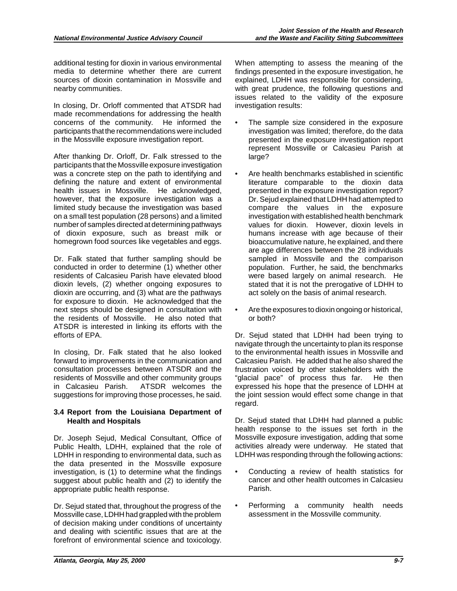additional testing for dioxin in various environmental media to determine whether there are current sources of dioxin contamination in Mossville and nearby communities.

In closing, Dr. Orloff commented that ATSDR had made recommendations for addressing the health concerns of the community. He informed the participants that the recommendations were included in the Mossville exposure investigation report.

After thanking Dr. Orloff, Dr. Falk stressed to the participants that the Mossville exposure investigation was a concrete step on the path to identifying and defining the nature and extent of environmental health issues in Mossville. He acknowledged, however, that the exposure investigation was a limited study because the investigation was based on a small test population (28 persons) and a limited number of samples directed at determining pathways of dioxin exposure, such as breast milk or homegrown food sources like vegetables and eggs.

 for exposure to dioxin. He acknowledged that the Dr. Falk stated that further sampling should be conducted in order to determine (1) whether other residents of Calcasieu Parish have elevated blood dioxin levels, (2) whether ongoing exposures to dioxin are occurring, and (3) what are the pathways next steps should be designed in consultation with the residents of Mossville. He also noted that ATSDR is interested in linking its efforts with the efforts of EPA.

In closing, Dr. Falk stated that he also looked forward to improvements in the communication and consultation processes between ATSDR and the residents of Mossville and other community groups in Calcasieu Parish. ATSDR welcomes the suggestions for improving those processes, he said.

### **3.4 Report from the Louisiana Department of Health and Hospitals**

Dr. Joseph Sejud, Medical Consultant, Office of Public Health, LDHH, explained that the role of LDHH in responding to environmental data, such as the data presented in the Mossville exposure investigation, is (1) to determine what the findings suggest about public health and (2) to identify the appropriate public health response.

Dr. Sejud stated that, throughout the progress of the Mossville case, LDHH had grappled with the problem of decision making under conditions of uncertainty and dealing with scientific issues that are at the forefront of environmental science and toxicology.

When attempting to assess the meaning of the findings presented in the exposure investigation, he explained, LDHH was responsible for considering, with great prudence, the following questions and issues related to the validity of the exposure investigation results:

- The sample size considered in the exposure investigation was limited; therefore, do the data presented in the exposure investigation report represent Mossville or Calcasieu Parish at large?
- Are health benchmarks established in scientific literature comparable to the dioxin data presented in the exposure investigation report? Dr. Sejud explained that LDHH had attempted to compare the values in the exposure investigation with established health benchmark values for dioxin. However, dioxin levels in humans increase with age because of their bioaccumulative nature, he explained, and there are age differences between the 28 individuals sampled in Mossville and the comparison population. Further, he said, the benchmarks were based largely on animal research. He stated that it is not the prerogative of LDHH to act solely on the basis of animal research.
- Are the exposures to dioxin ongoing or historical, or both?

Dr. Sejud stated that LDHH had been trying to navigate through the uncertainty to plan its response to the environmental health issues in Mossville and Calcasieu Parish. He added that he also shared the frustration voiced by other stakeholders with the "glacial pace" of process thus far. He then expressed his hope that the presence of LDHH at the joint session would effect some change in that regard.

 health response to the issues set forth in the Dr. Sejud stated that LDHH had planned a public Mossville exposure investigation, adding that some activities already were underway. He stated that LDHH was responding through the following actions:

- Conducting a review of health statistics for cancer and other health outcomes in Calcasieu Parish.
- • Performing a community health needs assessment in the Mossville community.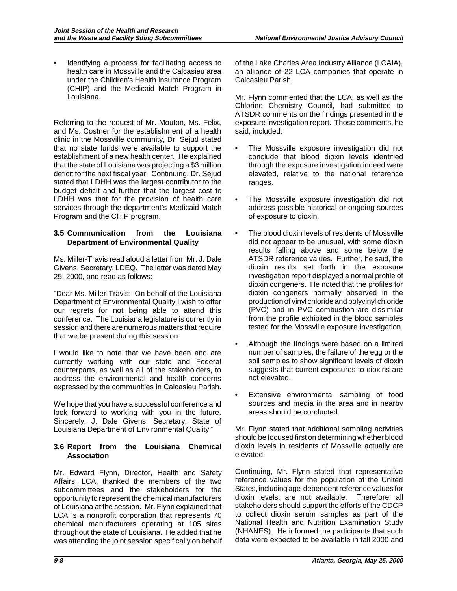Identifying a process for facilitating access to health care in Mossville and the Calcasieu area under the Children's Health Insurance Program (CHIP) and the Medicaid Match Program in Louisiana.

Referring to the request of Mr. Mouton, Ms. Felix, and Ms. Costner for the establishment of a health clinic in the Mossville community, Dr. Sejud stated that no state funds were available to support the establishment of a new health center. He explained that the state of Louisiana was projecting a \$3 million deficit for the next fiscal year. Continuing, Dr. Sejud stated that LDHH was the largest contributor to the budget deficit and further that the largest cost to LDHH was that for the provision of health care services through the department's Medicaid Match Program and the CHIP program.

#### **3.5 Communication from the Louisiana Department of Environmental Quality**

 Ms. Miller-Travis read aloud a letter from Mr. J. Dale Givens, Secretary, LDEQ. The letter was dated May 25, 2000, and read as follows:

 "Dear Ms. Miller-Travis: On behalf of the Louisiana Department of Environmental Quality I wish to offer our regrets for not being able to attend this conference. The Louisiana legislature is currently in session and there are numerous matters that require that we be present during this session.

I would like to note that we have been and are currently working with our state and Federal counterparts, as well as all of the stakeholders, to address the environmental and health concerns expressed by the communities in Calcasieu Parish.

We hope that you have a successful conference and look forward to working with you in the future. Sincerely, J. Dale Givens, Secretary, State of Louisiana Department of Environmental Quality."

#### **3.6 Report from the Louisiana Chemical Association**

Mr. Edward Flynn, Director, Health and Safety Affairs, LCA, thanked the members of the two subcommittees and the stakeholders for the opportunity to represent the chemical manufacturers of Louisiana at the session. Mr. Flynn explained that LCA is a nonprofit corporation that represents 70 chemical manufacturers operating at 105 sites throughout the state of Louisiana. He added that he was attending the joint session specifically on behalf of the Lake Charles Area Industry Alliance (LCAIA), an alliance of 22 LCA companies that operate in Calcasieu Parish.

Mr. Flynn commented that the LCA, as well as the Chlorine Chemistry Council, had submitted to ATSDR comments on the findings presented in the exposure investigation report. Those comments, he said, included:

- The Mossville exposure investigation did not conclude that blood dioxin levels identified through the exposure investigation indeed were elevated, relative to the national reference ranges.
- The Mossville exposure investigation did not address possible historical or ongoing sources of exposure to dioxin.
- • The blood dioxin levels of residents of Mossville dioxin congeners. He noted that the profiles for did not appear to be unusual, with some dioxin results falling above and some below the ATSDR reference values. Further, he said, the dioxin results set forth in the exposure investigation report displayed a normal profile of dioxin congeners normally observed in the production of vinyl chloride and polyvinyl chloride (PVC) and in PVC combustion are dissimilar from the profile exhibited in the blood samples tested for the Mossville exposure investigation.
- number of samples, the failure of the egg or the • Although the findings were based on a limited soil samples to show significant levels of dioxin suggests that current exposures to dioxins are not elevated.
- Extensive environmental sampling of food sources and media in the area and in nearby areas should be conducted.

Mr. Flynn stated that additional sampling activities should be focused first on determining whether blood dioxin levels in residents of Mossville actually are elevated.

Continuing, Mr. Flynn stated that representative reference values for the population of the United States, including age-dependent reference values for dioxin levels, are not available. Therefore, all stakeholders should support the efforts of the CDCP to collect dioxin serum samples as part of the National Health and Nutrition Examination Study (NHANES). He informed the participants that such data were expected to be available in fall 2000 and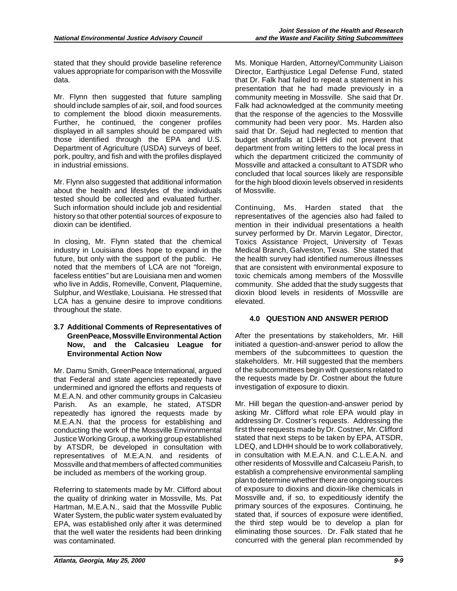stated that they should provide baseline reference values appropriate for comparison with the Mossville data.

Mr. Flynn then suggested that future sampling should include samples of air, soil, and food sources to complement the blood dioxin measurements. Further, he continued, the congener profiles displayed in all samples should be compared with those identified through the EPA and U.S. Department of Agriculture (USDA) surveys of beef, pork, poultry, and fish and with the profiles displayed in industrial emissions.

Mr. Flynn also suggested that additional information about the health and lifestyles of the individuals tested should be collected and evaluated further. Such information should include job and residential history so that other potential sources of exposure to dioxin can be identified.

In closing, Mr. Flynn stated that the chemical industry in Louisiana does hope to expand in the future, but only with the support of the public. He noted that the members of LCA are not "foreign, faceless entities" but are Louisiana men and women who live in Addis, Romeville, Convent, Plaquemine, Sulphur, and Westlake, Louisiana. He stressed that LCA has a genuine desire to improve conditions throughout the state.

#### **3.7 Additional Comments of Representatives of GreenPeace, Mossville Environmental Action Now, and the Calcasieu League for Environmental Action Now**

Mr. Damu Smith, GreenPeace International, argued that Federal and state agencies repeatedly have undermined and ignored the efforts and requests of M.E.A.N. and other community groups in Calcasieu Parish. As an example, he stated, ATSDR repeatedly has ignored the requests made by M.E.A.N. that the process for establishing and conducting the work of the Mossville Environmental Justice Working Group, a working group established by ATSDR, be developed in consultation with representatives of M.E.A.N. and residents of Mossville and that members of affected communities be included as members of the working group.

Referring to statements made by Mr. Clifford about the quality of drinking water in Mossville, Ms. Pat Hartman, M.E.A.N., said that the Mossville Public Water System, the public water system evaluated by EPA, was established only after it was determined that the well water the residents had been drinking was contaminated.

Ms. Monique Harden, Attorney/Community Liaison Director, Earthjustice Legal Defense Fund, stated that Dr. Falk had failed to repeat a statement in his presentation that he had made previously in a community meeting in Mossville. She said that Dr. Falk had acknowledged at the community meeting that the response of the agencies to the Mossville community had been very poor. Ms. Harden also said that Dr. Sejud had neglected to mention that budget shortfalls at LDHH did not prevent that department from writing letters to the local press in which the department criticized the community of Mossville and attacked a consultant to ATSDR who concluded that local sources likely are responsible for the high blood dioxin levels observed in residents of Mossville.

 toxic chemicals among members of the Mossville Continuing, Ms. Harden stated that the representatives of the agencies also had failed to mention in their individual presentations a health survey performed by Dr. Marvin Legator, Director, Toxics Assistance Project, University of Texas Medical Branch, Galveston, Texas. She stated that the health survey had identified numerous illnesses that are consistent with environmental exposure to community. She added that the study suggests that dioxin blood levels in residents of Mossville are elevated.

## **4.0 QUESTION AND ANSWER PERIOD**

 stakeholders. Mr. Hill suggested that the members After the presentations by stakeholders, Mr. Hill initiated a question-and-answer period to allow the members of the subcommittees to question the of the subcommittees begin with questions related to the requests made by Dr. Costner about the future investigation of exposure to dioxin.

 other residents of Mossville and Calcaseiu Parish, to Mr. Hill began the question-and-answer period by asking Mr. Clifford what role EPA would play in addressing Dr. Costner's requests. Addressing the first three requests made by Dr. Costner, Mr. Clifford stated that next steps to be taken by EPA, ATSDR, LDEQ, and LDHH should be to work collaboratively, in consultation with M.E.A.N. and C.L.E.A.N. and establish a comprehensive environmental sampling plan to determine whether there are ongoing sources of exposure to dioxins and dioxin-like chemicals in Mossville and, if so, to expeditiously identify the primary sources of the exposures. Continuing, he stated that, if sources of exposure were identified, the third step would be to develop a plan for eliminating those sources. Dr. Falk stated that he concurred with the general plan recommended by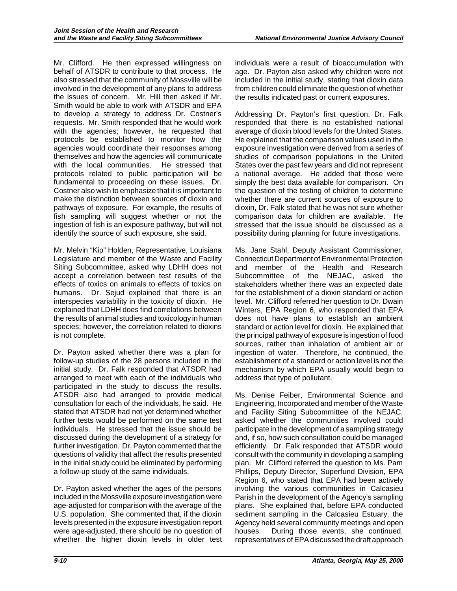Smith would be able to work with ATSDR and EPA make the distinction between sources of dioxin and Mr. Clifford. He then expressed willingness on behalf of ATSDR to contribute to that process. He also stressed that the community of Mossville will be involved in the development of any plans to address the issues of concern. Mr. Hill then asked if Mr. to develop a strategy to address Dr. Costner's requests. Mr. Smith responded that he would work with the agencies; however, he requested that protocols be established to monitor how the agencies would coordinate their responses among themselves and how the agencies will communicate with the local communities. He stressed that protocols related to public participation will be fundamental to proceeding on these issues. Dr. Costner also wish to emphasize that it is important to pathways of exposure. For example, the results of fish sampling will suggest whether or not the ingestion of fish is an exposure pathway, but will not identify the source of such exposure, she said.

 effects of toxics on animals to effects of toxics on humans. Dr. Sejud explained that there is an Mr. Melvin "Kip" Holden, Representative, Louisiana Legislature and member of the Waste and Facility Siting Subcommittee, asked why LDHH does not accept a correlation between test results of the interspecies variability in the toxicity of dioxin. He explained that LDHH does find correlations between the results of animal studies and toxicology in human species; however, the correlation related to dioxins is not complete.

 follow-up studies of the 28 persons included in the questions of validity that affect the results presented Dr. Payton asked whether there was a plan for initial study. Dr. Falk responded that ATSDR had arranged to meet with each of the individuals who participated in the study to discuss the results. ATSDR also had arranged to provide medical consultation for each of the individuals, he said. He stated that ATSDR had not yet determined whether further tests would be performed on the same test individuals. He stressed that the issue should be discussed during the development of a strategy for further investigation. Dr. Payton commented that the in the initial study could be eliminated by performing a follow-up study of the same individuals.

Dr. Payton asked whether the ages of the persons included in the Mossville exposure investigation were age-adjusted for comparison with the average of the U.S. population. She commented that, if the dioxin levels presented in the exposure investigation report were age-adjusted, there should be no question of whether the higher dioxin levels in older test individuals were a result of bioaccumulation with age. Dr. Payton also asked why children were not included in the initial study, stating that dioxin data from children could eliminate the question of whether the results indicated past or current exposures.

Addressing Dr. Payton's first question, Dr. Falk responded that there is no established national average of dioxin blood levels for the United States. He explained that the comparison values used in the exposure investigation were derived from a series of studies of comparison populations in the United States over the past few years and did not represent a national average. He added that those were simply the best data available for comparison. On the question of the testing of children to determine whether there are current sources of exposure to dioxin, Dr. Falk stated that he was not sure whether comparison data for children are available. He stressed that the issue should be discussed as a possibility during planning for future investigations.

Ms. Jane Stahl, Deputy Assistant Commissioner, Connecticut Department of Environmental Protection and member of the Health and Research Subcommittee of the NEJAC, asked the stakeholders whether there was an expected date for the establishment of a dioxin standard or action level. Mr. Clifford referred her question to Dr. Dwain Winters, EPA Region 6, who responded that EPA does not have plans to establish an ambient standard or action level for dioxin. He explained that the principal pathway of exposure is ingestion of food sources, rather than inhalation of ambient air or ingestion of water. Therefore, he continued, the establishment of a standard or action level is not the mechanism by which EPA usually would begin to address that type of pollutant.

Ms. Denise Feiber, Environmental Science and Engineering, Incorporated and member of the Waste and Facility Siting Subcommittee of the NEJAC, asked whether the communities involved could participate in the development of a sampling strategy and, if so, how such consultation could be managed efficiently. Dr. Falk responded that ATSDR would consult with the community in developing a sampling plan. Mr. Clifford referred the question to Ms. Pam Phillips, Deputy Director, Superfund Division, EPA Region 6, who stated that EPA had been actively involving the various communities in Calcasieu Parish in the development of the Agency's sampling plans. She explained that, before EPA conducted sediment sampling in the Calcasieu Estuary, the Agency held several community meetings and open houses. During those events, she continued, representatives of EPA discussed the draft approach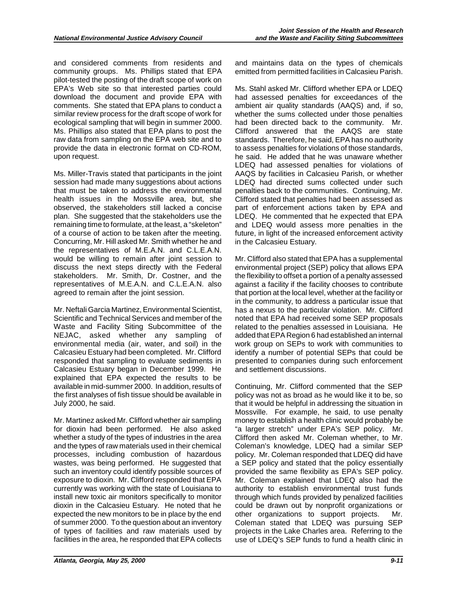community groups. Ms. Phillips stated that EPA comments. She stated that EPA plans to conduct a and considered comments from residents and pilot-tested the posting of the draft scope of work on EPA's Web site so that interested parties could download the document and provide EPA with similar review process for the draft scope of work for ecological sampling that will begin in summer 2000. Ms. Phillips also stated that EPA plans to post the raw data from sampling on the EPA web site and to provide the data in electronic format on CD-ROM, upon request.

Ms. Miller-Travis stated that participants in the joint session had made many suggestions about actions that must be taken to address the environmental health issues in the Mossville area, but, she observed, the stakeholders still lacked a concise plan. She suggested that the stakeholders use the remaining time to formulate, at the least, a "skeleton" of a course of action to be taken after the meeting. Concurring, Mr. Hill asked Mr. Smith whether he and the representatives of M.E.A.N. and C.L.E.A.N. would be willing to remain after joint session to discuss the next steps directly with the Federal stakeholders. Mr. Smith, Dr. Costner, and the representatives of M.E.A.N. and C.L.E.A.N. also agreed to remain after the joint session.

Mr. Neftali Garcia Martinez, Environmental Scientist, Scientific and Technical Services and member of the Waste and Facility Siting Subcommittee of the NEJAC, asked whether any sampling of environmental media (air, water, and soil) in the Calcasieu Estuary had been completed. Mr. Clifford responded that sampling to evaluate sediments in Calcasieu Estuary began in December 1999. He explained that EPA expected the results to be available in mid-summer 2000. In addition, results of the first analyses of fish tissue should be available in July 2000, he said.

 whether a study of the types of industries in the area Mr. Martinez asked Mr. Clifford whether air sampling for dioxin had been performed. He also asked and the types of raw materials used in their chemical processes, including combustion of hazardous wastes, was being performed. He suggested that such an inventory could identify possible sources of exposure to dioxin. Mr. Clifford responded that EPA currently was working with the state of Louisiana to install new toxic air monitors specifically to monitor dioxin in the Calcasieu Estuary. He noted that he expected the new monitors to be in place by the end of summer 2000. To the question about an inventory of types of facilities and raw materials used by facilities in the area, he responded that EPA collects

and maintains data on the types of chemicals emitted from permitted facilities in Calcasieu Parish.

 ambient air quality standards (AAQS) and, if so, Ms. Stahl asked Mr. Clifford whether EPA or LDEQ had assessed penalties for exceedances of the whether the sums collected under those penalties had been directed back to the community. Mr. Clifford answered that the AAQS are state standards. Therefore, he said, EPA has no authority to assess penalties for violations of those standards, he said. He added that he was unaware whether LDEQ had assessed penalties for violations of AAQS by facilities in Calcasieu Parish, or whether LDEQ had directed sums collected under such penalties back to the communities. Continuing, Mr. Clifford stated that penalties had been assessed as part of enforcement actions taken by EPA and LDEQ. He commented that he expected that EPA and LDEQ would assess more penalties in the future, in light of the increased enforcement activity in the Calcasieu Estuary.

 has a nexus to the particular violation. Mr. Clifford Mr. Clifford also stated that EPA has a supplemental environmental project (SEP) policy that allows EPA the flexibility to offset a portion of a penalty assessed against a facility if the facility chooses to contribute that portion at the local level, whether at the facility or in the community, to address a particular issue that noted that EPA had received some SEP proposals related to the penalties assessed in Louisiana. He added that EPA Region 6 had established an internal work group on SEPs to work with communities to identify a number of potential SEPs that could be presented to companies during such enforcement and settlement discussions.

Continuing, Mr. Clifford commented that the SEP policy was not as broad as he would like it to be, so that it would be helpful in addressing the situation in Mossville. For example, he said, to use penalty money to establish a health clinic would probably be "a larger stretch" under EPA's SEP policy. Mr. Clifford then asked Mr. Coleman whether, to Mr. Coleman's knowledge, LDEQ had a similar SEP policy. Mr. Coleman responded that LDEQ did have a SEP policy and stated that the policy essentially provided the same flexibility as EPA's SEP policy. Mr. Coleman explained that LDEQ also had the authority to establish environmental trust funds through which funds provided by penalized facilities could be drawn out by nonprofit organizations or other organizations to support projects. Mr. Coleman stated that LDEQ was pursuing SEP projects in the Lake Charles area. Referring to the use of LDEQ's SEP funds to fund a health clinic in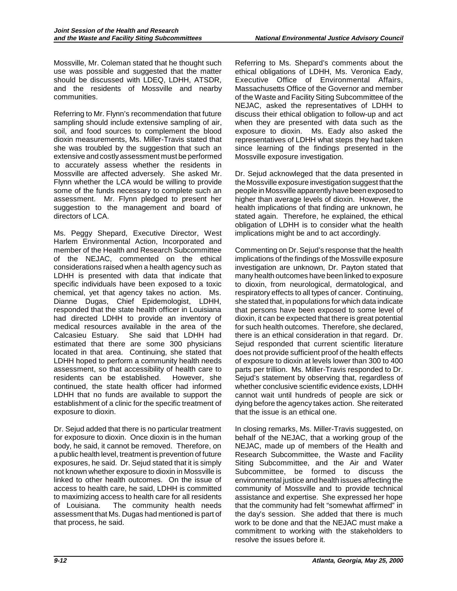Mossville, Mr. Coleman stated that he thought such use was possible and suggested that the matter should be discussed with LDEQ, LDHH, ATSDR, and the residents of Mossville and nearby communities.

Referring to Mr. Flynn's recommendation that future sampling should include extensive sampling of air, soil, and food sources to complement the blood dioxin measurements, Ms. Miller-Travis stated that she was troubled by the suggestion that such an extensive and costly assessment must be performed to accurately assess whether the residents in Mossville are affected adversely. She asked Mr. Flynn whether the LCA would be willing to provide some of the funds necessary to complete such an assessment. Mr. Flynn pledged to present her suggestion to the management and board of directors of LCA.

 member of the Health and Research Subcommittee LDHH that no funds are available to support the establishment of a clinic for the specific treatment of Ms. Peggy Shepard, Executive Director, West Harlem Environmental Action, Incorporated and of the NEJAC, commented on the ethical considerations raised when a health agency such as LDHH is presented with data that indicate that specific individuals have been exposed to a toxic chemical, yet that agency takes no action. Ms. Dianne Dugas, Chief Epidemologist, LDHH, responded that the state health officer in Louisiana had directed LDHH to provide an inventory of medical resources available in the area of the Calcasieu Estuary. She said that LDHH had estimated that there are some 300 physicians located in that area. Continuing, she stated that LDHH hoped to perform a community health needs assessment, so that accessibility of health care to residents can be established. However, she continued, the state health officer had informed exposure to dioxin.

Dr. Sejud added that there is no particular treatment for exposure to dioxin. Once dioxin is in the human body, he said, it cannot be removed. Therefore, on a public health level, treatment is prevention of future exposures, he said. Dr. Sejud stated that it is simply not known whether exposure to dioxin in Mossville is linked to other health outcomes. On the issue of access to health care, he said, LDHH is committed to maximizing access to health care for all residents of Louisiana. The community health needs assessment that Ms. Dugas had mentioned is part of that process, he said.

 Executive Office of Environmental Affairs, Massachusetts Office of the Governor and member Referring to Ms. Shepard's comments about the ethical obligations of LDHH, Ms. Veronica Eady, of the Waste and Facility Siting Subcommittee of the NEJAC, asked the representatives of LDHH to discuss their ethical obligation to follow-up and act when they are presented with data such as the exposure to dioxin. Ms. Eady also asked the representatives of LDHH what steps they had taken since learning of the findings presented in the Mossville exposure investigation.

 obligation of LDHH is to consider what the health implications might be and to act accordingly. Dr. Sejud acknowleged that the data presented in the Mossville exposure investigation suggest that the people in Mossville apparently have been exposed to higher than average levels of dioxin. However, the health implications of that finding are unknown, he stated again. Therefore, he explained, the ethical

 respiratory effects to all types of cancer. Continuing, does not provide sufficient proof of the health effects dying before the agency takes action. She reiterated Commenting on Dr. Sejud's response that the health implications of the findings of the Mossville exposure investigation are unknown, Dr. Payton stated that manyhealth outcomes have been linked to exposure to dioxin, from neurological, dermatological, and she stated that, in populations for which data indicate that persons have been exposed to some level of dioxin, it can be expected that there is great potential for such health outcomes. Therefore, she declared, there is an ethical consideration in that regard. Dr. Sejud responded that current scientific literature of exposure to dioxin at levels lower than 300 to 400 parts per trillion. Ms. Miller-Travis responded to Dr. Sejud's statement by observing that, regardless of whether conclusive scientific evidence exists, LDHH cannot wait until hundreds of people are sick or that the issue is an ethical one.

 work to be done and that the NEJAC must make a In closing remarks, Ms. Miller-Travis suggested, on behalf of the NEJAC, that a working group of the NEJAC, made up of members of the Health and Research Subcommittee, the Waste and Facility Siting Subcommittee, and the Air and Water Subcommittee, be formed to discuss the environmental justice and health issues affecting the community of Mossville and to provide technical assistance and expertise. She expressed her hope that the community had felt "somewhat affirmed" in the day's session. She added that there is much commitment to working with the stakeholders to resolve the issues before it.